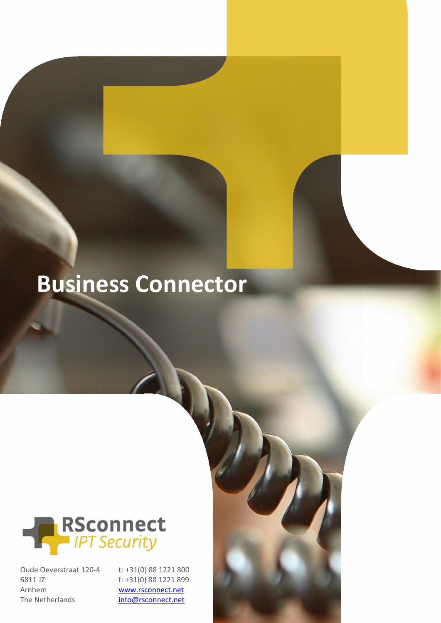# **Business Connector**



Oude Oeverstraat 120-4 6811 JZ Arnhem The Netherlands

t: +31(0) 88 1221 800 f: +31(0) 88 1221 899 [www.rsconnect.net](http://www.rsconnect.net/) [info@rsconnect.net](mailto:info@rsconnect.net)

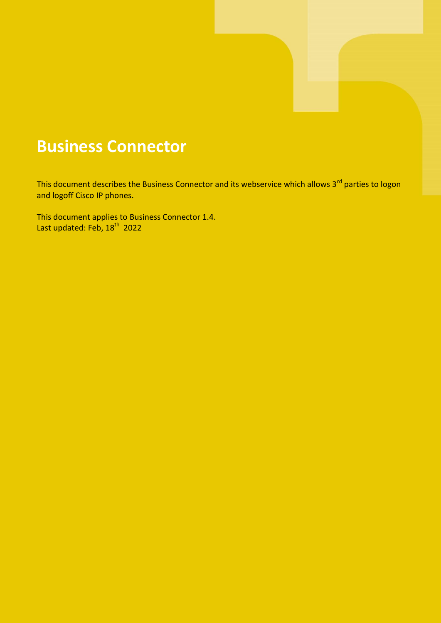### **Business Connector**

This document describes the Business Connector and its webservice which allows 3<sup>rd</sup> parties to logon and logoff Cisco IP phones.

This document applies to Business Connector 1.4. Last updated: Feb, 18<sup>th</sup> 2022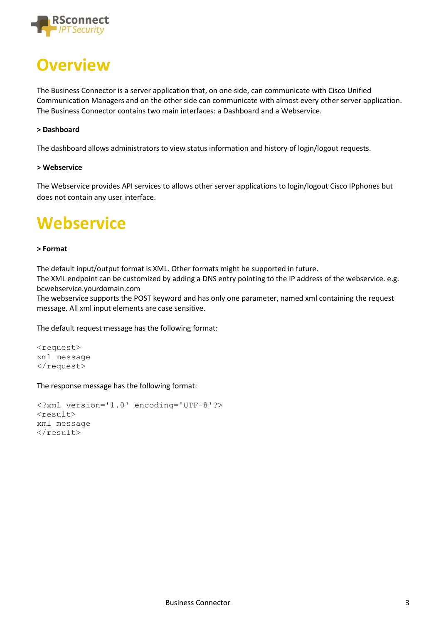

### **Overview**

The Business Connector is a server application that, on one side, can communicate with Cisco Unified Communication Managers and on the other side can communicate with almost every other server application. The Business Connector contains two main interfaces: a Dashboard and a Webservice.

#### **> Dashboard**

The dashboard allows administrators to view status information and history of login/logout requests.

#### **> Webservice**

The Webservice provides API services to allows other server applications to login/logout Cisco IPphones but does not contain any user interface.

### **Webservice**

#### **> Format**

The default input/output format is XML. Other formats might be supported in future.

The XML endpoint can be customized by adding a DNS entry pointing to the IP address of the webservice. e.g. bcwebservice.yourdomain.com

The webservice supports the POST keyword and has only one parameter, named xml containing the request message. All xml input elements are case sensitive.

The default request message has the following format:

```
<request>
xml message
\langle request>
```
The response message has the following format:

```
<?xml version='1.0' encoding='UTF-8'?>
<result>
xml message
\langle/result>
```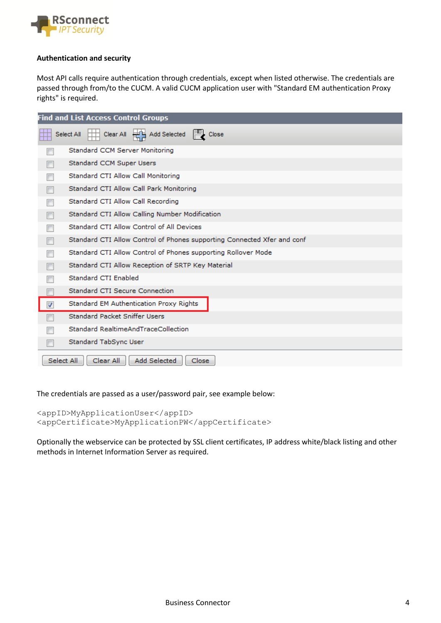

#### **Authentication and security**

Most API calls require authentication through credentials, except when listed otherwise. The credentials are passed through from/to the CUCM. A valid CUCM application user with "Standard EM authentication Proxy rights" is required.

| <b>Find and List Access Control Groups</b>       |                                                                         |  |  |
|--------------------------------------------------|-------------------------------------------------------------------------|--|--|
|                                                  | Add Selected<br>Close<br>Clear All<br>Select All                        |  |  |
|                                                  | Standard CCM Server Monitoring                                          |  |  |
|                                                  | Standard CCM Super Users                                                |  |  |
|                                                  | Standard CTI Allow Call Monitoring                                      |  |  |
|                                                  | Standard CTI Allow Call Park Monitoring                                 |  |  |
|                                                  | Standard CTI Allow Call Recording                                       |  |  |
|                                                  | Standard CTI Allow Calling Number Modification                          |  |  |
|                                                  | Standard CTI Allow Control of All Devices                               |  |  |
|                                                  | Standard CTI Allow Control of Phones supporting Connected Xfer and conf |  |  |
|                                                  | Standard CTI Allow Control of Phones supporting Rollover Mode           |  |  |
|                                                  | Standard CTI Allow Reception of SRTP Key Material                       |  |  |
|                                                  | Standard CTI Enabled                                                    |  |  |
|                                                  | <b>Standard CTI Secure Connection</b>                                   |  |  |
|                                                  | Standard EM Authentication Proxy Rights                                 |  |  |
|                                                  | <b>Standard Packet Sniffer Users</b>                                    |  |  |
|                                                  | Standard RealtimeAndTraceCollection                                     |  |  |
|                                                  | Standard TabSync User                                                   |  |  |
| Add Selected<br>Select All<br>Clear All<br>Close |                                                                         |  |  |

The credentials are passed as a user/password pair, see example below:

<appID>MyApplicationUser</appID> <appCertificate>MyApplicationPW</appCertificate>

Optionally the webservice can be protected by SSL client certificates, IP address white/black listing and other methods in Internet Information Server as required.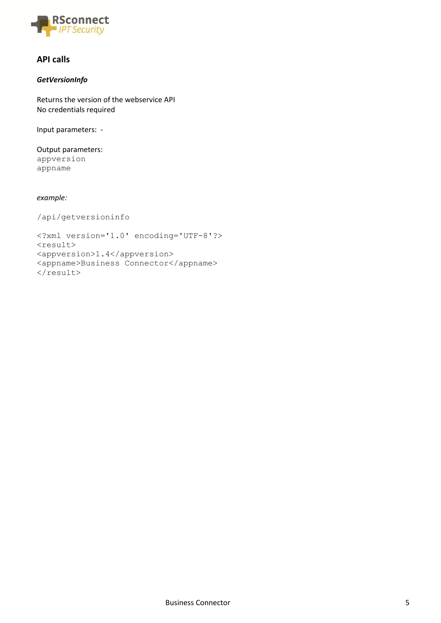

#### **API calls**

#### *GetVersionInfo*

Returns the version of the webservice API No credentials required

Input parameters: -

Output parameters: appversion appname

*example:*

/api/getversioninfo

```
<?xml version='1.0' encoding='UTF-8'?>
<result>
<appversion>1.4</appversion>
<appname>Business Connector</appname>
\langle/result>
```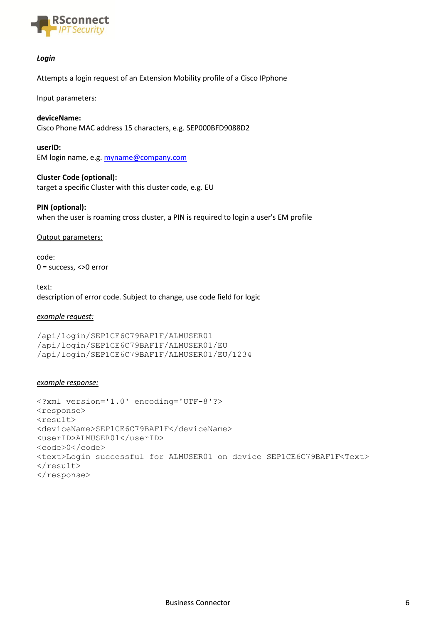

#### *Login*

Attempts a login request of an Extension Mobility profile of a Cisco IPphone

#### Input parameters:

#### **deviceName:**

Cisco Phone MAC address 15 characters, e.g. SEP000BFD9088D2

**userID:** EM login name, e.g. [myname@company.com](mailto:myname@company.com)

#### **Cluster Code (optional):**

target a specific Cluster with this cluster code, e.g. EU

#### **PIN (optional):**

when the user is roaming cross cluster, a PIN is required to login a user's EM profile

#### Output parameters:

code: 0 = success, <>0 error

text: description of error code. Subject to change, use code field for logic

#### *example request:*

```
/api/login/SEP1CE6C79BAF1F/ALMUSER01
/api/login/SEP1CE6C79BAF1F/ALMUSER01/EU
/api/login/SEP1CE6C79BAF1F/ALMUSER01/EU/1234
```
#### *example response:*

```
<?xml version='1.0' encoding='UTF-8'?>
<response>
<result>
<deviceName>SEP1CE6C79BAF1F</deviceName>
<userID>ALMUSER01</userID>
<code>0</code>
<text>Login successful for ALMUSER01 on device SEP1CE6C79BAF1F<Text>
\langle/result>
</response>
```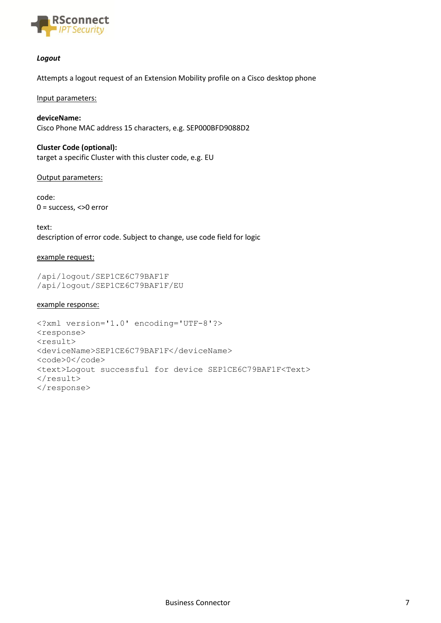

#### *Logout*

Attempts a logout request of an Extension Mobility profile on a Cisco desktop phone

Input parameters:

**deviceName:**  Cisco Phone MAC address 15 characters, e.g. SEP000BFD9088D2

**Cluster Code (optional):** target a specific Cluster with this cluster code, e.g. EU

Output parameters:

code: 0 = success, <>0 error

text: description of error code. Subject to change, use code field for logic

#### example request:

/api/logout/SEP1CE6C79BAF1F /api/logout/SEP1CE6C79BAF1F/EU

#### example response:

```
<?xml version='1.0' encoding='UTF-8'?>
<response>
<result>
<deviceName>SEP1CE6C79BAF1F</deviceName>
<code>0</code>
<text>Logout successful for device SEP1CE6C79BAF1F<Text>
\langle/result>
</response>
```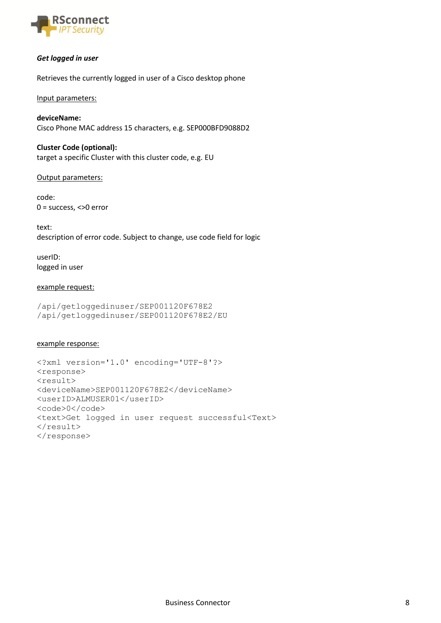

#### *Get logged in user*

Retrieves the currently logged in user of a Cisco desktop phone

#### Input parameters:

**deviceName:** Cisco Phone MAC address 15 characters, e.g. SEP000BFD9088D2

**Cluster Code (optional):** target a specific Cluster with this cluster code, e.g. EU

#### Output parameters:

code: 0 = success, <>0 error

text: description of error code. Subject to change, use code field for logic

userID: logged in user

#### example request:

```
/api/getloggedinuser/SEP001120F678E2
/api/getloggedinuser/SEP001120F678E2/EU
```
#### example response:

```
<?xml version='1.0' encoding='UTF-8'?>
<response>
<result>
<deviceName>SEP001120F678E2</deviceName>
<userID>ALMUSER01</userID>
<code>0</code>
<text>Get logged in user request successful<Text>
\langle/result>
</response>
```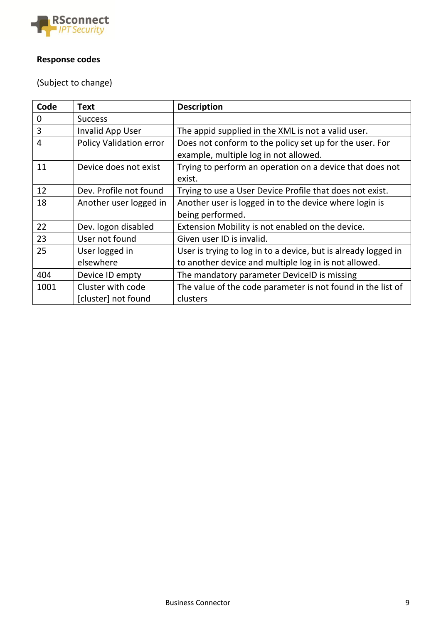

### **Response codes**

(Subject to change)

| Code        | <b>Text</b>                    | <b>Description</b>                                             |
|-------------|--------------------------------|----------------------------------------------------------------|
| $\mathbf 0$ | <b>Success</b>                 |                                                                |
| 3           | Invalid App User               | The appid supplied in the XML is not a valid user.             |
| 4           | <b>Policy Validation error</b> | Does not conform to the policy set up for the user. For        |
|             |                                | example, multiple log in not allowed.                          |
| 11          | Device does not exist          | Trying to perform an operation on a device that does not       |
|             |                                | exist.                                                         |
| 12          | Dev. Profile not found         | Trying to use a User Device Profile that does not exist.       |
| 18          | Another user logged in         | Another user is logged in to the device where login is         |
|             |                                | being performed.                                               |
| 22          | Dev. logon disabled            | Extension Mobility is not enabled on the device.               |
| 23          | User not found                 | Given user ID is invalid.                                      |
| 25          | User logged in                 | User is trying to log in to a device, but is already logged in |
|             | elsewhere                      | to another device and multiple log in is not allowed.          |
| 404         | Device ID empty                | The mandatory parameter DevicelD is missing                    |
| 1001        | Cluster with code              | The value of the code parameter is not found in the list of    |
|             | [cluster] not found            | clusters                                                       |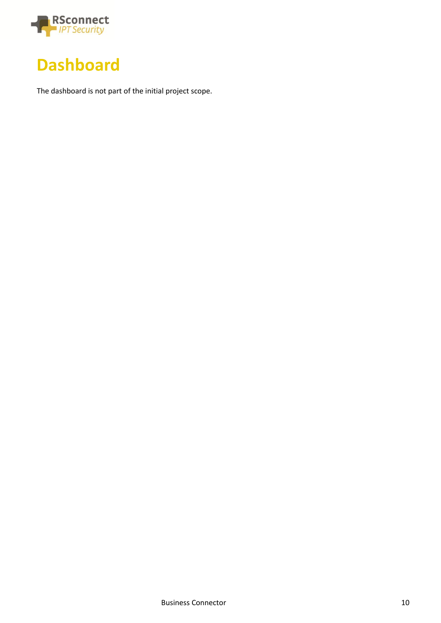



The dashboard is not part of the initial project scope.